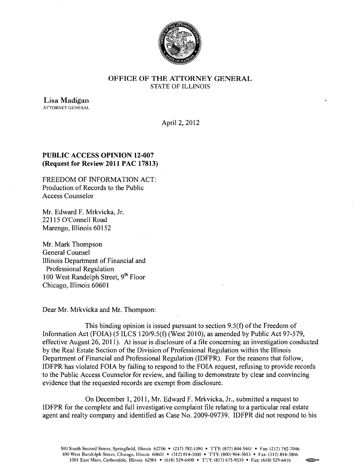

## OFFICE OF THE ATTORNEY GENERAL STATE OF ILLINOIS

Lisa Madigan **ATTORNEY GENERAL** 

April 2, 2012

# PUBLIC ACCESS OPINION 12-007 (Request for Review 2011 PAC 17813)

FREEDOM OF INFORMATION ACT: Production of Records to the Public Access Counselor

Mr. Edward F. Mrkvicka, Jr. 22115 O'Connell Road Marengo, Illinois 60152

Mr. Mark Thompson General Counsel Illinois Department of Financial and Professional Regulation 100 West Randolph Street, 9<sup>th</sup> Floor Chicago, Illinois 60601

Dear Mr. Mrkvicka and Mr. Thompson:

This binding opinion is issued pursuant to section 9.5(f) of the Freedom of Information Act (FOIA) (5 ILCS 120/9.5(f) (West 2010), as amended by Public Act 97-579, effective August 26, 2011). At issue is disclosure of a file concerning an investigation conducted by the Real Estate Section of the Division of Professional Regulation within the Illinois Department of Financial and Professional Regulation (lDFPR). For the reasons that follow, IDFPR has violated FOIA by failing to respond to the FOIA request, refusing to provide records to the Public Access Counselor for review, and failing to demonstrate by clear and convincing evidence that the requested records are exempt from disclosure.

On December 1,2011, Mr. Edward F. Mrkvicka, Jr., submitted a request to IDFPR for the complete and full investigative complaint file relating to a particular real estate agent and realty company and identified as Case No. 2009-09739. IDFPR did not respond to his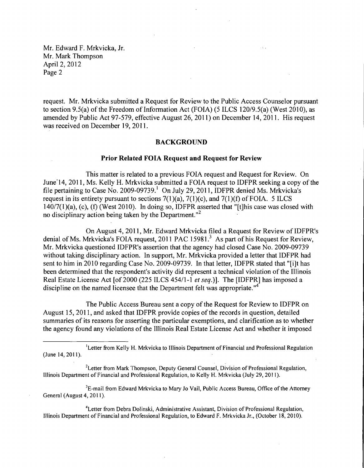request. Mr. Mrkvicka submitted a Request for Review to the Public Access Counselor pursuant to section 9.5(a) of the Freedom of Information Act (FOIA) (5 ILCS 120/9.5(a) (West 2010), as amended by Public Act 97-579, effective August 26,2011) on December 14,2011. His request was received on December 19, 2011.

#### BACKGROUND

### Prior Related FOIA Request and Request for Review

This matter is related to a previous FOIA request and Request for Review. On June 14, 2011, Ms. Kelly H. Mrkvicka submitted a FOIA request to IDFPR seeking a copy of the file pertaining to Case No. 2009-09739.<sup>1</sup> On July 29, 2011, IDFPR denied Ms. Mrkvicka's request in its entirety pursuant to sections  $7(1)(a)$ ,  $7(1)(c)$ , and  $7(1)(f)$  of FOIA. 5 ILCS  $140/7(1)(a)$ , (c), (f) (West 2010). In doing so, IDFPR asserted that "[t]his case was closed with no disciplinary action being taken by the Department. $^{12}$ 

On August 4, 2011, Mr. Edward Mrkvicka filed a Request for Review of IDFPR's denial of Ms. Mrkvicka's FOIA request, 2011 PAC 15981.<sup>3</sup> As part of his Request for Review, Mr. Mrkvicka questioned IDFPR's assertion that the agency had closed Case No. 2009-09739 without taking disciplinary action. In support, Mr. Mrkvicka provided a letter that IDFPR had sent to him in 2010 regarding Case No. 2009-09739. In that letter, IDFPR stated that "[i]t has been determined that the respondent's activity did represent a technical violation of the Illinois Real Estate License Act [of 2000 (225 ILCS 454/1-1 *et seq.*)]. The [IDFPR] has imposed a discipline on the named licensee that the Department felt was appropriate. $14$ 

The Public Access Bureau sent a copy of the Request for Review to IDFPR on August 15,2011, and asked that IDFPR provide copies of the records in question, detailed summaries of its reasons for asserting the particular exemptions, and clarification as to whether the agency found any violations of the Illinois Real Estate License Act and whether it imposed

<sup>2</sup>Letter from Mark Thompson, Deputy General Counsel, Division of Professional Regulation, Illinois Department of Financial and Professional Regulation, to Kelly H. Mrkvicka (July 29, 2011).

<sup>3</sup>E-mail from Edward Mrkvicka to Mary Jo Vail, Public Access Bureau, Office of the Attorney General (August 4, 2011).

"Letter from Debra Dolinski, Administrative Assistant, Division of Professional Regulation, Illinois Department of Financial and Professional Regulation, to Edward F. Mrkvicka Jr., (October 18,2010).

<sup>&</sup>lt;sup>1</sup> Letter from Kelly H. Mrkvicka to Illinois Department of Financial and Professional Regulation (June 14,2011).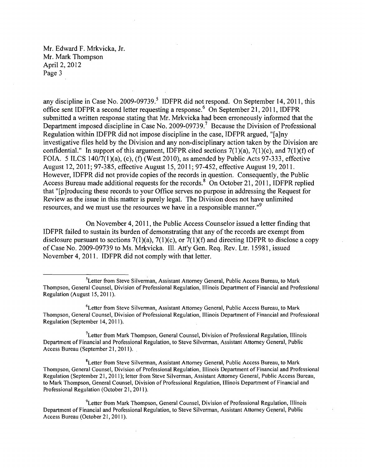any discipline in Case No. 2009-09739.<sup>5</sup> IDFPR did not respond. On September 14, 2011, this office sent IDFPR a second letter requesting a response.' On September 21, 2011, IDFPR submitted a written response stating that Mr. Mrkvicka had been erroneously informed that the Department imposed discipline in Case No. 2009-09739.<sup>7</sup> Because the Division of Professional Regulation within IDFPR did not impose discipline in the case, IDFPR argued, "[ajny investigative files held by the Division and any non-disciplinary action taken by the Division are confidential." In support of this argument, IDFPR cited sections  $7(1)(a)$ ,  $7(1)(c)$ , and  $7(1)(f)$  of FOIA. 5 ILCS  $140/7(1)(a)$ , (c), (f) (West 2010), as amended by Public Acts 97-333, effective August 12,2011; 97-385, effective August 15,2011; 97-452, effective August 19,2011. However, IDFPR did not provide copies of the records in question. Consequently, the Public Access Bureau made additional requests for the records.<sup>8</sup> On October 21, 2011, IDFPR replied that "[p]roducing these records to your Office serves no purpose in addressing the Request for Review as the issue in this matter is purely legal. The Division does not have unlimited resources, and we must use the resources we have in a responsible manner."<sup>9</sup>

On November 4, 2011, the Public Access Counselor issued a letter finding that IDFPR failed to sustain its burden of demonstrating that any ofthe records are exempt from disclosure pursuant to sections  $7(1)(a)$ ,  $7(1)(c)$ , or  $7(1)(f)$  and directing IDFPR to disclose a copy of Case No. 2009-09739 to Ms. Mrkvicka. Ill. Att'y Gen. Req. Rev. Ltr. 15981, issued November 4,2011. IDFPR did not comply with that letter.

<sup>&</sup>lt;sup>5</sup>Letter from Steve Silverman, Assistant Attorney General, Public Access Bureau, to Mark Thompson, General Counsel, Division of Professional Regulation, Illinois Department of Financial and Professional Regulation (August 15, 2011).

<sup>&#</sup>x27;Letter from Steve Silverman, Assistant Attorney General, Public Access Bureau, to Mark Thompson, General Counsel, Division of Professional Regulation, Illinois Department of Financial and Professional Regulation (September 14, 2011).

<sup>&</sup>lt;sup>7</sup>Letter from Mark Thompson, General Counsel, Division of Professional Regulation, Illinois Department of Financial and Professional Regulation, to Steve Silverman, Assistant Attorney General, Public Access Bureau (September 21, 2011). .

<sup>8</sup>Letter from Steve Silverman, Assistant Attorney General, Public Access Bureau, to Mark Thompson, General Counsel, Division of Professional Regulation, Illinois Department of Financial and Professional Regulation (September 21, 20 II); letter from Steve Silverman, Assistant Attorney General, Public Access Bureau, to Mark Thompson, General Counsel, Division of Professional Regulation, Illinois Department of Financial and Professional Regulation (October 21, 2011).

<sup>9</sup>Letter from Mark Thompson, General Counsel, Division of Professional Regulation, Illinois Department of Financial and Professional Regulation, to Steve Silverman, Assistant Attorney General, Public Access Bureau (October 21, 2011).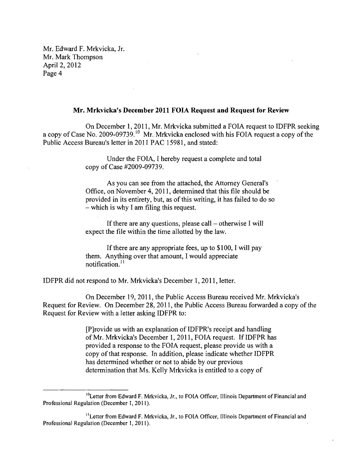#### **Mr. Mrkvicka's December 2011 FOIA Request and Request for Review**

On December 1,2011, Mr. Mrkvicka submitted a FOIA request to IDFPR seeking a copy of Case No. 2009-09739.<sup>10</sup> Mr. Mrkvicka enclosed with his FOIA request a copy of the Public Access Bureau's letter in 2011 PAC 15981, and stated:

> Under the FOIA, I hereby request a complete and total copy of Case #2009-09739.

As you can see from the attached, the Attorney General's Office, on November 4,2011, determined that this file should be provided in its entirety, but, as of this writing, it has failed to do so - which is why I am filing this request.

If there are any questions, please call  $-$  otherwise I will expect the file within the time allotted by the law.

If there are any appropriate fees, up to \$100, I will pay them. Anything over that amount, I would appreciate notification. $<sup>11</sup>$ </sup>

IDFPR did not respond to Mr. Mrkvicka's December 1, **2011,** letter.

On December 19, 2011, the Public Access Bureau received Mr. Mrkvicka's Request for Review. On December 28,2011, the Public Access Bureau forwarded a copy of the Request for Review with a letter asking IDFPR to:

> [P]rovide us with an explanation of IDFPR's receipt and handling of Mr. Mrkvicka's December 1, 2011, FOIA request. If IDFPR has provided a response to the FOIA request, please provide us with a copy of that response. In addition, please indicate whether IDFPR has determined whether or not to abide by our previous determination that Ms. Kelly Mrkvicka is entitled to a copy of

<sup>&</sup>lt;sup>10</sup>Letter from Edward F. Mrkvicka, Jr., to FOIA Officer, Illinois Department of Financial and Professional Regulation (December J, 2011).

<sup>&</sup>lt;sup>11</sup> Letter from Edward F. Mrkvicka, Jr., to FOIA Officer, Illinois Department of Financial and Professional Regulation (December J, 20 II).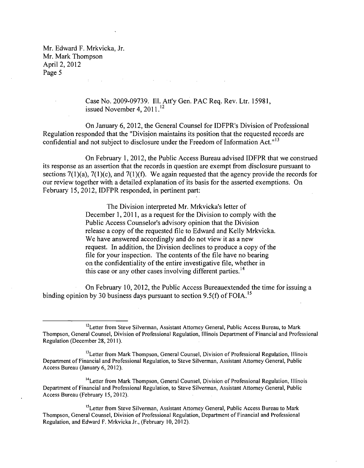> Case No. 2009-09739. Ill. Att'y Gen. PAC Req. Rev. Ltr. 15981, issued November 4,  $2011<sup>12</sup>$

 $\mathcal{L}^{\mathcal{L}}(\mathcal{L}^{\mathcal{L}}(\mathcal{L}^{\mathcal{L}}(\mathcal{L}^{\mathcal{L}}(\mathcal{L}^{\mathcal{L}}(\mathcal{L}^{\mathcal{L}}(\mathcal{L}^{\mathcal{L}}(\mathcal{L}^{\mathcal{L}}(\mathcal{L}^{\mathcal{L}}(\mathcal{L}^{\mathcal{L}}(\mathcal{L}^{\mathcal{L}}(\mathcal{L}^{\mathcal{L}}(\mathcal{L}^{\mathcal{L}}(\mathcal{L}^{\mathcal{L}}(\mathcal{L}^{\mathcal{L}}(\mathcal{L}^{\mathcal{L}}(\mathcal{L}^{\mathcal{L$ 

On January 6,2012, the General Counsel for IDFPR's Division of Professional Regulation responded that the "Division maintains its position that the requested records are confidential and not subject to disclosure under the Freedom of Information Act." $13$ 

On February 1,2012, the Public Access Bureau advised IDFPR that we construed its response as an assertion that the records in question are exempt from disclosure pursuant to sections  $7(1)(a)$ ,  $7(1)(c)$ , and  $7(1)(f)$ . We again requested that the agency provide the records for our review together with a detailed explanation of its basis for the asserted exemptions. On February 15,2012, IDFPR responded, in pertinent part:

> The Division interpreted Mr. Mrkvicka's letter of December 1, 2011, as a request for the Division to comply with the Public Access Counselor's advisory opinion that the Division release a copy of the requested file to Edward and Kelly Mrkvicka. We have answered accordingly and do not view it as a new request. In addition, the Division declines to produce a copy of the file for your inspection. The contents of the file have no bearing on the confidentiality of the entire investigative file, whether in this case or any other cases involving different parties.<sup>14</sup>

On February 10,2012, the Public Access Bureauextended the time for issuing a binding opinion by 30 business days pursuant to section 9.5(f) of FOIA.<sup>15</sup>

<sup>14</sup> Letter from Mark Thompson, General Counsel, Division of Professional Regulation, Illinois Department of Financial and Professional Regulation, to Steve Silverman, Assistant Attorney General, Public Access Bureau (February 15, 2012).

<sup>15</sup>Letter from Steve Silverman, Assistant Attorney General, Public Access Bureau to Mark Thompson, General Counsel, Division of Professional Regulation, Department of Financial and Professional Regulation, and Edward F. Mrkvicka Jr., (February 10,2012).

<sup>&</sup>lt;sup>12</sup> Letter from Steve Silverman, Assistant Attorney General, Public Access Bureau, to Mark Thompson, General Counsel, Division of Professional Regulation, Illinois Department of Financial and Professional Regulation (December 28,2011).

<sup>&</sup>lt;sup>13</sup> Letter from Mark Thompson, General Counsel, Division of Professional Regulation, Illinois Department of Financial and Professional Regulation, to Steve Silverman, Assistant Attorney General, Public Access Bureau (January 6, 2012).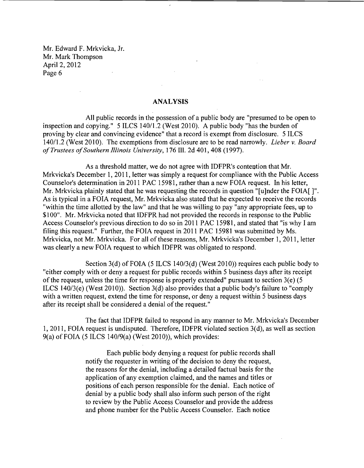#### ANALYSIS

 $\sim 10^{11}$ 

 $\sim$ 

All public records in the possession of a public body are "presumed to be open to inspection and copying." 5 ILCS 140/1.2 (West 2010). A public body "has the burden of proving by clear and convincing evidence" that a record is exempt from disclosure. 51LCS 140/1.2 (West 2010). The exemptions from disclosure are to be read narrowly. *Lieber v. Board ofTrustees ofSouthern Illinois University,* 176 Ill. 2d 401, 408 (1997).

 $\mathcal{L}^{\text{max}}$ 

As a threshold matter, we do not agree with IDFPR's contention that Mr. Mrkvicka's December 1, 2011, letter was simply a request for compliance with the Public Access Counselor's determination in 2011 PAC 15981, rather than a new FOIA request. In his letter, Mr. Mrkvicka plainly stated that he was requesting the records in question "[u]nder the FOIA[]". As is typical in a FOIA request, Mr. Mrkvicka also stated that he expected to receive the records "within the time allotted by the law" and that he was willing to pay "any appropriate fees, up to \$100". Mr. Mrkvicka noted that IDFPR had not provided the records in response to the Public Access Counselor's previous direction to do so in 2011 PAC 15981, and stated that "is why I am filing this request." Further, the FOIA request in 2011 PAC 15981 was submitted by Ms. Mrkvicka, not Mr. Mrkvicka. For all of these reasons, Mr. Mrkvicka's December 1, 2011, letter was clearly a new FOIA request to which IDFPR was obligated to respond.

Section 3(d) of FOIA (5 ILCS 140/3(d) (West 2010)) requires each public body to "either comply with or deny a request for public records within 5 business days after its receipt of the request, unless the time for response is properly extended" pursuant to section 3(e) (5 ILCS 140/3(e) (West 2010)). Section 3(d) also provides that a public body's failure to "comply with a written request, extend the time for response, or deny a request within 5 business days after its receipt shall be considered a denial of the request."

The fact that IDFPR failed to respond in any manner to Mr. Mrkvicka's December 1,2011, FOIA request is undisputed. Therefore, IDFPR violated section 3(d), as well as section 9(a) of FOIA (5 ILCS 140/9(a) (West 2010)), which provides:

> Each public body denying a request for public records shall notify the requester in writing of the decision to deny the request, the reasons for the denial, including a detailed factual basis for the application of any exemption claimed, and the names and titles or positions of each person responsible for the denial. Each notice of denial by a public body shall also inform such person of the right to review by the Public Access Counselor and provide the address and phone number for the Public Access Counselor. Each notice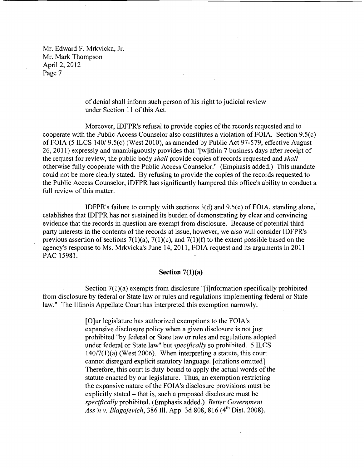> of denial shall inform such person of his right to judicial review under Section 11 of this Act.

Moreover, IDFPR's refusal to provide copies of the records requested and to cooperate with the Public Access Counselor also constitutes a violation of FOIA. Section 9.5(c) ofFOIA (5 ILCS 140/ 9.5(c) (West 2010), as amended by Public Act 97-579, effective August 26,2011) expressly and unambiguously provides that "[w]ithin 7 business days after receipt of the request for review, the public body *shall* provide copies of records requested and *shall*  otherwise fully cooperate with the Public Access Counselor." (Emphasis added.) This mandate could not be more clearly stated. By refusing to provide the copies of the records requested to the Public Access Counselor, IDFPR has significantly hampered this office's ability to conduct a full review of this matter.

IDFPR's failure to comply with sections  $3(d)$  and  $9.5(c)$  of FOIA, standing alone, establishes that IDFPR has not sustained its burden of demonstrating by clear and convincing evidence that the records in question are exempt from disclosure. Because of potential third party interests in the contents of the records at issue, however, we also will consider IDFPR's previous assertion of sections  $7(1)(a)$ ,  $7(1)(c)$ , and  $7(1)(f)$  to the extent possible based on the agency's response to Ms. Mrkvicka's June 14,2011, FOIA request and its arguments in 2011 PAC 15981.

### Section 7(1)(a)

Section 7(1)(a) exempts from disclosure "[i]nformation specifically prohibited from disclosure by federal or State law or rules and regulations implementing federal or State law." The Illinois Appellate Court has interpreted this exemption narrowly.

> [O]ur legislature has authorized exemptions to the FOIA's expansive disclosure policy when a given disclosure is not just prohibited "by federal or State law or rules and regulations adopted under federal or State law" but *specifically* so prohibited. 5 ILCS  $140/7(1)$ (a) (West 2006). When interpreting a statute, this court cannot disregard explicit statutory language. [citations omitted] Therefore, this court is duty-bound to apply the actual words of the statute enacted by our legislature. Thus, an exemption restricting the expansive nature of the FOIA's disclosure provisions must be explicitly stated - that is, such a proposed disclosure must be *specifically* prohibited. (Emphasis added.) *Better Government Ass 'n* v. *Blagojevich,* 386 Ill. App. 3d 808, 816 (4th Dist. 2008).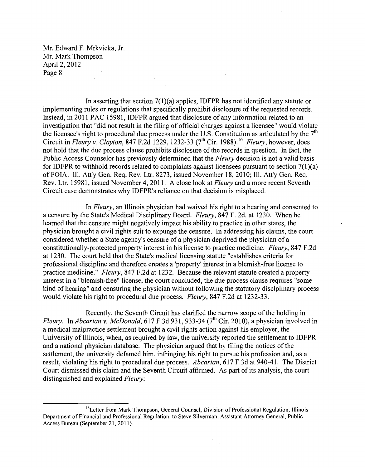Mr. Edward F. Mrkvicka, Jr. Mr. Mark Thompson April 2, 2012 Page 8  $\label{eq:2.1} \frac{1}{\sqrt{2}}\int_{0}^{\infty}\frac{dx}{\sqrt{2\pi}}\,dx\leq \frac{1}{\sqrt{2}}\int_{0}^{\infty}\frac{dx}{\sqrt{2\pi}}\,dx.$ 

In asserting that section  $7(1)(a)$  applies, IDFPR has not identified any statute or implementing rules or regulations that specifically prohibit disclosure of the requested records. Instead, in 2011 PAC 15981, IDFPR argued that disclosure of any information related to an investigation that "did not result in the filing of official charges against a licensee" would violate the licensee's right to procedural due process under the U.S. Constitution as articulated by the  $7<sup>th</sup>$ Circuit in *Fleury* v. *Clayton,* 847 F.2d 1229, 1232-33 (7th Cir. 1988).16 *Fleury,* however, does not hold that the due process clause prohibits disclosure of the records in question. In fact, the Public Access Counselor has previously determined that the *Fleury* decision is not a valid basis for IDFPR to withhold records related to complaints against licensees pursuant to section  $7(1)(a)$ of FOIA. Ill. Att'y Gen. Req. Rev. Ltr. 8273, issued November 18,2010; Ill. Att'y Gen. Req. Rev. Ltr. 15981, issued November 4,2011. A close look at *Fleury* and a more recent Seventh Circuit case demonstrates why IDFPR's reliance on that decision is misplaced.

In *Fleury,* an Illinois physician had waived his right to a hearing and consented to a censure by the State's Medical Disciplinary Board. *Fleury,* 847 F. 2d. at 1230. When he learned that the censure might negatively impact his ability to practice in other states, the physician brought a civil rights suit to expunge the censure. In addressing his claims, the court considered whether a State agency's censure of a physician deprived the physician of a constitutionally-protected property interest in his license to practice medicine. *Fleury,* 847 F.2d at 1230. The court held that the State's medical licensing statute "establishes criteria for professional discipline and therefore creates a 'property' interest in a blemish-free license to practice medicine." *Fleury,* 847 F.2d at 1232. Because the relevant statute created a property interest in a "blemish-free" license, the court concluded, the due process clause requires "some kind of hearing" and censuring the physician without following the statutory disciplinary process would violate his right to procedural due process. *Fleury,* 847 F.2d at 1232-33.

Recently, the Seventh Circuit has clarified the narrow scope of the holding in *Fleury.* In *Abcarian v. McDonald*, 617 F.3d 931, 933-34 (7<sup>th</sup> Cir. 2010), a physician involved in a medical malpractice settlement brought a civil rights action against his employer, the University of Illinois, when, as required by law, the university reported the settlement to IDFPR and a national physician database. The physician argued that by filing the notices of the settlement, the university defamed him, infringing his right to pursue his profession and, as a result, violating his right to procedural due process. *Abcarian,* 617 F.3d at 940-41. The District Court dismissed this claim and the Seventh Circuit affirmed. As part of its analysis, the court distinguished and explained *Fleury:* 

<sup>&</sup>lt;sup>16</sup>Letter from Mark Thompson, General Counsel, Division of Professional Regulation, Illinois Department of Financial and Professional Regulation, to Steve Silverman, Assistant Attorney General, Public Access Bureau (September 21, 2011).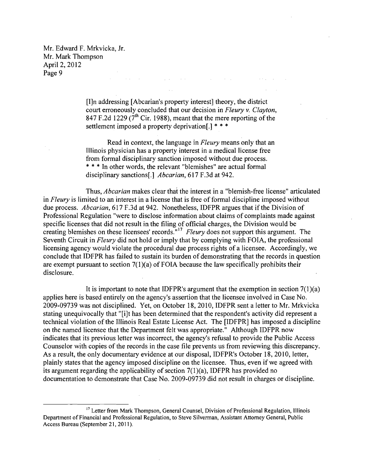Mr. Edward F. Mrkvicka, Jr. Mr. Mark Thompson April 2, 2012 Page 9  $\label{eq:2.1} \mathcal{L}(\mathbf{x}) = \mathcal{L}(\mathbf{x}) = \mathcal{L}(\mathbf{x}) = \mathcal{L}(\mathbf{x})$ 

> [I]n addressing [Abcarian's property interest] theory, the district court erroneously concluded that our decision in *Fleury* v. *Clayton,*  847 F.2d 1229 ( $7<sup>th</sup>$  Cir. 1988), meant that the mere reporting of the settlement imposed a property deprivation.<sup>1\*\*\*</sup>

 $\mathcal{L}^{\mathcal{L}}$  and  $\mathcal{L}^{\mathcal{L}}$  are the set of the set of the set of the set of the set of the set of the set of the set of the set of the set of the set of the set of the set of the set of the set of the set of the s

Read in context, the language in *Fleury* means only that an Illinois physician has a property interest in a medical license free from formal disciplinary sanction imposed without due process. \* \* \*In other words, the relevant "blemishes" are actual formal disciplinary sanctions[.] *Abcarian,* 617 F.3d at 942.

Thus, *Abcarian* makes clear that the interest in a "blemish-free license" articulated in *Fleury* is limited to an interest in a license that is free of formal discipline imposed without due process. *Abcarian,* 617 F.3d at 942. Nonetheless, IDFPR argues that if the Division of Professional Regulation "were to disclose information about claims of complaints made against specific licenses that did not result in the filing of official charges, the Division would be creating blemishes on these licensees' records." 17 *Fleury* does not support this argument. The Seventh Circuit in *Fleury* did not hold or imply that by complying with FOIA, the professional licensing agency would violate the procedural due process rights of a licensee. Accordingly, we conclude that IDFPR has failed to sustain its burden of demonstrating that the records in question are exempt pursuant to section  $7(1)(a)$  of FOIA because the law specifically prohibits their disclosure.

It is important to note that IDFPR's argument that the exemption in section  $7(1)(a)$ applies here is based entirely on the agency's assertion that the licensee involved in Case No. 2009-09739 was not disciplined. Yet, on October 18,2010, IDFPR sent a letter to Mr. Mrkvicka stating unequivocally that "[i]t has been determined that the respondent's activity did represent a technical violation of the Illinois Real Estate License Act. The [IDFPR] has imposed a discipline on the named licensee that the Department felt was appropriate." Although IDFPR now indicates that its previous letter was incorrect, the agency's refusal to provide the Public Access Counselor with copies of the records in the case file prevents us from reviewing this discrepancy. As a result, the only documentary evidence at our disposal, IDFPR's October 18, 2010, letter, plainly states that the agency imposed discipline on the licensee. Thus, even if we agreed with its argument regarding the applicability of section  $7(1)(a)$ , IDFPR has provided no documentation to demonstrate that Case No. 2009-09739 did not result in charges or discipline.

<sup>&</sup>lt;sup>17</sup> Letter from Mark Thompson, General Counsel, Division of Professional Regulation, Illinois Department of Financial and Professional Regulation, to Steve Silverman, Assistant Attorney General, Public Access Bureau (September 21, 2011).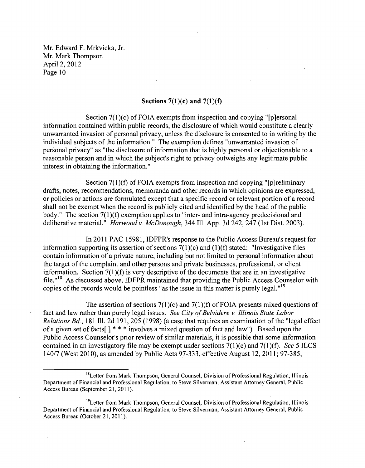## Sections 7(1)(c) **and** 7(1)(f)

Section 7(1)(c) of FOIA exempts from inspection and copying "[p]ersonal information contained within public records, the disclosure of which would constitute a clearly unwarranted invasion of personal privacy, unless the disclosure is consented to in writing by the individual subjects of the information." The exemption defines "unwarranted invasion of personal privacy" as "the disclosure of information that is highly personal or objectionable to a reasonable person and in which the subject's right to privacy outweighs any legitimate public interest in obtaining the information."

Section 7(1)(f) of FOIA exempts from inspection and copying "[p]reliminary drafts, notes, recommendations, memoranda and other records in which opinions are expressed, or policies or actions are formulated except that a specific record or relevant portion of a record shall not be exempt when the record is publicly cited and identified by the head of the public body." The section 7(1)(f) exemption applies to "inter- and intra-agency predecisional and deliberative material." *Harwoodv. McDonough,* 344 Ill. App. 3d 242, 247 (1st Dist. 2003).

In 2011 PAC 15981, IDFPR's response to the Public Access Bureau's request for information supporting its assertion of sections 7(1)(c) and (1)(f) stated: "Investigative files contain information of a private nature, including but not limited to personal information about the target of the complaint and other persons and private businesses, professional, or client information. Section 7(1)(f) is very descriptive of the documents that are in an investigative file."<sup>18</sup> As discussed above, IDFPR maintained that providing the Public Access Counselor with copies of the records would be pointless "as the issue in this matter is purely legal."<sup>19</sup>

The assertion of sections  $7(1)(c)$  and  $7(1)(f)$  of FOIA presents mixed questions of fact and law rather than purely legal issues. *See City of Belvidere v. Illinois State Labor Relations Bd.,* 181 Ill. 2d 191, 205 (1998) (a case that requires an examination of the "legal effect of a given set of facts  $\lceil$  \* \* \* involves a mixed question of fact and law"). Based upon the Public Access Counselor's prior review of similar materials, it is possible that some information contained in an investigatory file may be exempt under sections 7(1)(c) and 7(1)(f). *See* 5 ILCS 140/7 (West 2010), as amended by Public Acts 97-333,effective August 12,2011; 97-385,

<sup>&</sup>lt;sup>18</sup>Letter from Mark Thompson, General Counsel, Division of Professional Regulation, Illinois Department of Financial and Professional Regulation, to Steve Silverman, Assistant Attorney General, Public Access Bureau (September 21, 2011).

<sup>&</sup>lt;sup>19</sup>Letter from Mark Thompson, General Counsel, Division of Professional Regulation, Illinois Department of Financial and Professional Regulation, to Steve Silverman, Assistant Attorney General, Public Access Bureau (October 21, 2011).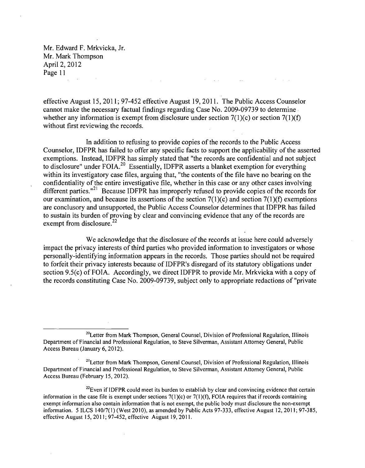effective August 15,2011; 97-452 effective August 19,2011. The Public Access Counselor cannot make the necessary factual findings regarding Case No. 2009-09739 to determine whether any information is exempt from disclosure under section  $7(1)(c)$  or section  $7(1)(f)$ without first reviewing the records.

and the state

In addition to refusing to provide copies of the records to the Public Access Counselor, IDFPR has failed to offer any specific facts to support the applicability of the asserted exemptions. Instead, IDFPR has simply stated that "the records are confidential and not subject to disclosure" under FOIA.<sup>20</sup> Essentially, IDFPR asserts a blanket exemption for everything within its investigatory case files, arguing that, "the contents of the file have no bearing on the confidentiality of the entire investigative file, whether in this case or any other cases involving different parties. $n^{21}$  Because IDFPR has improperly refused to provide copies of the records for our examination, and because its assertions of the section  $7(1)(c)$  and section  $7(1)(f)$  exemptions are conclusory and unsupported, the Public Access Counselor determines that IDFPR has failed to sustain its burden of proving by clear and convincing evidence that any of the records are exempt from disclosure. $22$ 

We acknowledge that the disclosure of the records at issue here could adversely impact the privacy interests of third parties who provided information to investigators or whose personally-identifying information appears in the records. Those parties should not be required to forfeit their privacy interests because of IDFPR's disregard of its statutory obligations under section 9.5(c) of FOIA. Accordingly, we direct IDFPR to provide Mr. Mrkvicka with a copy of the records constituting Case No. 2009-09739, subject only to appropriate redactions of "private

<sup>&</sup>lt;sup>20</sup>Letter from Mark Thompson, General Counsel, Division of Professional Regulation, Illinois Department of Financial and Professional Regulation, to Steve Silverman, Assistant Attorney General, Public Access Bureau (January 6, 2012).

<sup>&</sup>lt;sup>21</sup> Letter from Mark Thompson, General Counsel, Division of Professional Regulation, Illinois Department of Financial and Professional Regulation, to Steve Silverman, Assistant Attorney General, Public Access Bureau (February 15,2012).

 $^{22}$ Even if IDFPR could meet its burden to establish by clear and convincing evidence that certain information in the case file is exempt under sections  $7(1)(c)$  or  $7(1)(f)$ , FOIA requires that if records containing exempt information also contain information that is not exempt, the public body must disclosure the non-exempt information. 5 ILCS 140/7(1) (West 2010), as amended by Public Acts 97-333, effective August 12,2011; 97-385, effective August 15,2011; 97-452, effective August 19,2011.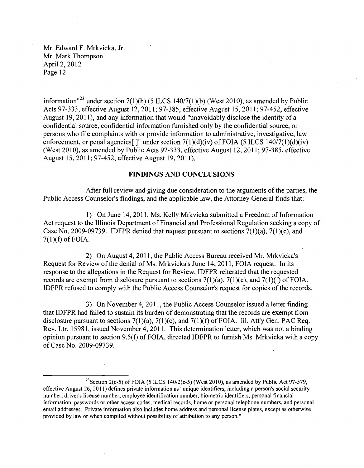Mr. Edward F. Mrkvicka, Jr. Mr. Mark Thompson April 2, 2012 Page 12  $\chi^2/\chi^2$ 

information<sup> $123$ </sup> under section 7(1)(b) (5 ILCS 140/7(1)(b) (West 2010), as amended by Public Acts 97-333, effective August 12,2011; 97-385, effective August 15,2011; 97-452, effective August 19, 2011), and any information that would "unavoidably disclose the identity of a confidential source, confidential information furnished only by the confidential source, or persons who file complaints with or provide information to administrative, investigative, law enforcement, or penal agencies<sup>[1]</sup> under section  $7(1)(d)(iv)$  of FOIA (5 ILCS 140/7(1)(d)(iv) (West 2010), as amended by Public Acts 97-333, effective August 12,2011; 97-385, effective August 15,2011; 97-452, effective August 19,2011).

## **FINDINGS AND CONCLUSIONS**

After full review and giving due consideration to the arguments of the parties, the Public Access Counselor's findings, and the applicable law, the Attorney General finds that:

1) On June 14, 2011, Ms. Kelly Mrkvicka submitted a Freedom of Information Act request to the Illinois Department of Financial and Professional Regulation seeking a copy of Case No. 2009-09739. IDFPR denied that request pursuant to sections  $7(1)(a)$ ,  $7(1)(c)$ , and  $7(1)(f)$  of FOIA.

2) On August 4,2011, the Public Access Bureau received Mr. Mrkvicka's Request for Review of the denial of Ms. Mrkvicka's June 14,2011, FOIA request. In its response to the allegations in the Request for Review, IDFPR reiterated that the requested records are exempt from disclosure pursuant to sections  $7(1)(a)$ ,  $7(1)(c)$ , and  $7(1)(f)$  of FOIA. IDFPR refused to comply with the Public Access Counselor's request for copies of the records.

3) On November 4,2011, the Public Access Counselor issued a letter finding that IDFPR had failed to sustain its burden of demonstrating that the records are exempt from disclosure pursuant to sections  $7(1)(a)$ ,  $7(1)(c)$ , and  $7(1)(f)$  of FOIA. Ill. Att'y Gen. PAC Req. Rev. Ltr. 15981, issued November 4,2011. This determination letter, which was not a binding opinion pursuant to section  $9.5(f)$  of FOIA, directed IDFPR to furnish Ms. Mrkvicka with a copy of Case No. 2009-09739.

<sup>&</sup>lt;sup>23</sup> Section 2(c-5) of FOIA (5 ILCS 140/2(c-5) (West 2010), as amended by Public Act 97-579, effective August 26,2011) defines private information as "unique identifiers, including a person's social security number, driver's license number, employee identification number, biometric identifiers, personal financial information, passwords or other access codes, medical records, home or personal telephone numbers, and personal email addresses. Private information also includes home address and personal license plates, except as otherwise provided by law or when compiled without possibility of attribution to any person."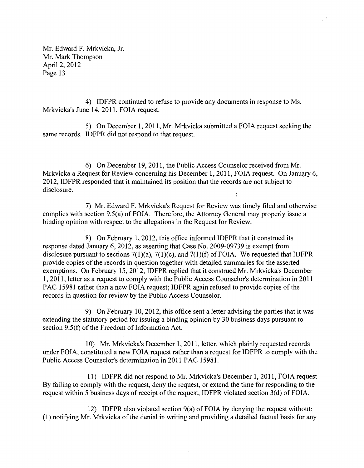4) IDFPR continued to refuse to provide any documents in response to Ms. Mrkvicka's June 14,2011, FOIA request.

5) On December 1,2011, Mr. Mrkvicka submitted a FOIA request seeking the same records. IDFPR did not respond to that request.

6) On December 19,2011, the Public Access Counselor received from Mr. Mrkvicka a Request for Review concerning his December 1,2011, FOIA request. On January 6, 2012, IDFPR responded that it maintained its position that the records are not subject to disclosure.

7) Mr. Edward F. Mrkvicka's Request for Review was timely filed and otherwise complies with section 9.5(a) of FOIA. Therefore, the Attorney General may properly issue a binding opinion with respect to the allegations in the Request for Review.

8) On February 1,2012, this office informed IDFPR that it construed its response dated January 6, 2012, as asserting that Case No. 2009-09739 is exempt from disclosure pursuant to sections  $7(1)(a)$ ,  $7(1)(c)$ , and  $7(1)(f)$  of FOIA. We requested that IDFPR provide copies of the records in question together with detailed summaries for the asserted exemptions. On February 15, 2012, IDFPR replied that it construed Mr. Mrkvicka's December 1, **2011,** letter as a request to comply with the Public Access Counselor's determination in **2011**  PAC 15981 rather than a new FOIA request; IDFPR again refused to provide copies of the records in question for review by the Public Access Counselor.

9) On February 10,2012, this office sent a letter advising the parties that it was extending the statutory period for issuing a binding opinion by 30 business days pursuant to section  $9.5(f)$  of the Freedom of Information Act.

10) Mr. Mrkvicka's December 1, **2011,** letter, which plainly requested records under FOIA, constituted a new FOIA request rather than a request for IDFPR to comply with the Public Access Counselor's determination in 2011 PAC 15981.

11) IDFPR did not respond to Mr. Mrkvicka's December 1,2011, FOIA request By failing to comply with the request, deny the request, or extend the time for responding to the request within 5 business days of receipt of the request, IDFPR violated section 3(d) of FOIA.

12) IDFPR also violated section  $9(a)$  of FOIA by denying the request without: (l) notifying Mr. Mrkvicka of the denial in writing and providing a detailed factual basis for any